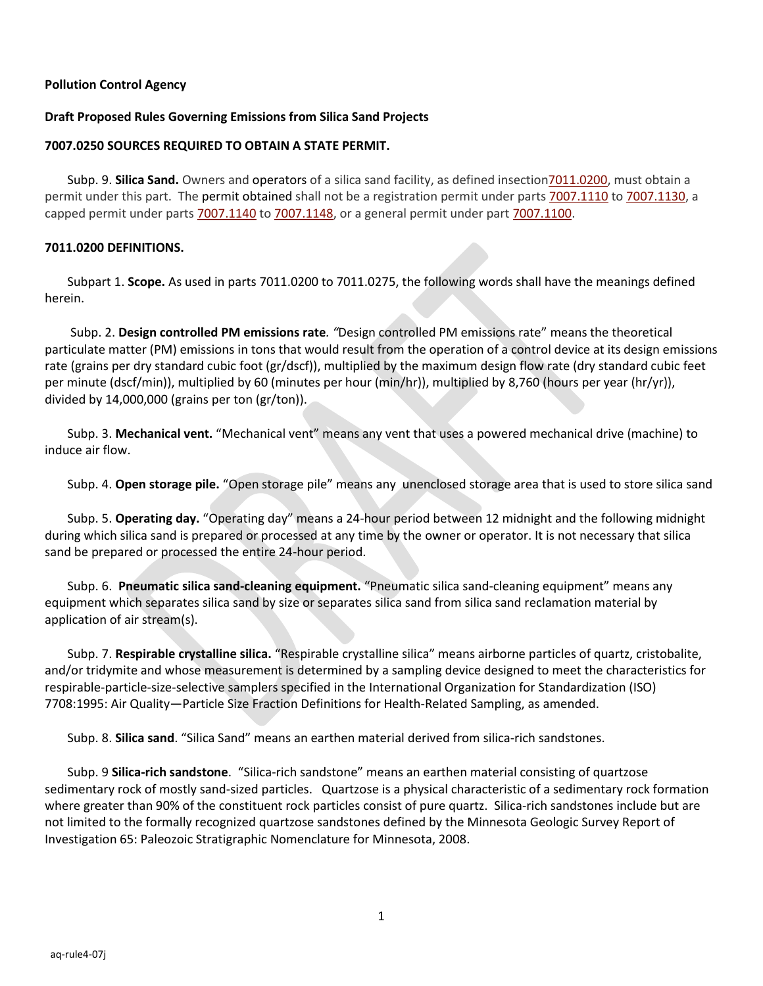### **Pollution Control Agency**

#### **Draft Proposed Rules Governing Emissions from Silica Sand Projects**

#### **7007.0250 SOURCES REQUIRED TO OBTAIN A STATE PERMIT.**

Subp. 9. **Silica Sand.** Owners and operators of a silica sand facility, as defined insectio[n7011.0200,](https://www.revisor.mn.gov/rules/?id=7011) must obtain a permit under this part. The permit obtained shall not be a registration permit under part[s 7007.1110](https://www.revisor.mn.gov/rules/?id=7007.1110) t[o 7007.1130,](https://www.revisor.mn.gov/rules/?id=7007.1130) a capped permit under parts [7007.1140](https://www.revisor.mn.gov/rules/?id=7007.1140) to [7007.1148,](https://www.revisor.mn.gov/rules/?id=7007.1148) or a general permit under par[t 7007.1100.](https://www.revisor.mn.gov/rules/?id=7007.1100)

#### **7011.0200 DEFINITIONS.**

Subpart 1. **Scope.** As used in parts 7011.0200 to 7011.0275, the following words shall have the meanings defined herein.

Subp. 2. **Design controlled PM emissions rate***. "*Design controlled PM emissions rate" means the theoretical particulate matter (PM) emissions in tons that would result from the operation of a control device at its design emissions rate (grains per dry standard cubic foot (gr/dscf)), multiplied by the maximum design flow rate (dry standard cubic feet per minute (dscf/min)), multiplied by 60 (minutes per hour (min/hr)), multiplied by 8,760 (hours per year (hr/yr)), divided by 14,000,000 (grains per ton (gr/ton)).

Subp. 3. **Mechanical vent.** "Mechanical vent" means any vent that uses a powered mechanical drive (machine) to induce air flow.

Subp. 4. **Open storage pile.** "Open storage pile" means any unenclosed storage area that is used to store silica sand

Subp. 5. **Operating day.** "Operating day" means a 24-hour period between 12 midnight and the following midnight during which silica sand is prepared or processed at any time by the owner or operator. It is not necessary that silica sand be prepared or processed the entire 24-hour period.

Subp. 6. **Pneumatic silica sand-cleaning equipment.** "Pneumatic silica sand-cleaning equipment" means any equipment which separates silica sand by size or separates silica sand from silica sand reclamation material by application of air stream(s).

Subp. 7. **Respirable crystalline silica.** "Respirable crystalline silica" means airborne particles of quartz, cristobalite, and/or tridymite and whose measurement is determined by a sampling device designed to meet the characteristics for respirable-particle-size-selective samplers specified in the International Organization for Standardization (ISO) 7708:1995: Air Quality—Particle Size Fraction Definitions for Health-Related Sampling, as amended.

Subp. 8. **Silica sand**. "Silica Sand" means an earthen material derived from silica-rich sandstones.

Subp. 9 **Silica-rich sandstone**. "Silica-rich sandstone" means an earthen material consisting of quartzose sedimentary rock of mostly sand-sized particles. Quartzose is a physical characteristic of a sedimentary rock formation where greater than 90% of the constituent rock particles consist of pure quartz. Silica-rich sandstones include but are not limited to the formally recognized quartzose sandstones defined by the Minnesota Geologic Survey Report of Investigation 65: Paleozoic Stratigraphic Nomenclature for Minnesota, 2008.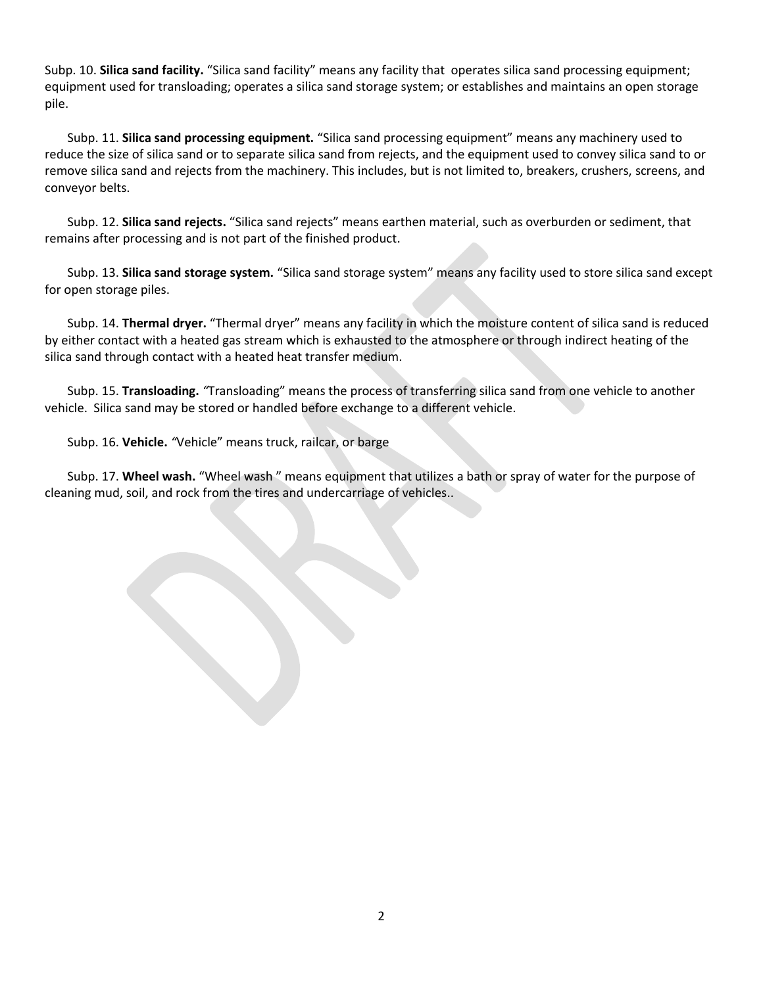Subp. 10. **Silica sand facility.** "Silica sand facility" means any facility that operates silica sand processing equipment; equipment used for transloading; operates a silica sand storage system; or establishes and maintains an open storage pile.

Subp. 11. **Silica sand processing equipment.** "Silica sand processing equipment" means any machinery used to reduce the size of silica sand or to separate silica sand from rejects, and the equipment used to convey silica sand to or remove silica sand and rejects from the machinery. This includes, but is not limited to, breakers, crushers, screens, and conveyor belts.

Subp. 12. **Silica sand rejects.** "Silica sand rejects" means earthen material, such as overburden or sediment, that remains after processing and is not part of the finished product.

Subp. 13. **Silica sand storage system.** "Silica sand storage system" means any facility used to store silica sand except for open storage piles.

Subp. 14. **Thermal dryer.** "Thermal dryer" means any facility in which the moisture content of silica sand is reduced by either contact with a heated gas stream which is exhausted to the atmosphere or through indirect heating of the silica sand through contact with a heated heat transfer medium.

Subp. 15. **Transloading.** *"*Transloading" means the process of transferring silica sand from one vehicle to another vehicle. Silica sand may be stored or handled before exchange to a different vehicle.

Subp. 16. **Vehicle.** *"*Vehicle" means truck, railcar, or barge

Subp. 17. **Wheel wash.** "Wheel wash " means equipment that utilizes a bath or spray of water for the purpose of cleaning mud, soil, and rock from the tires and undercarriage of vehicles..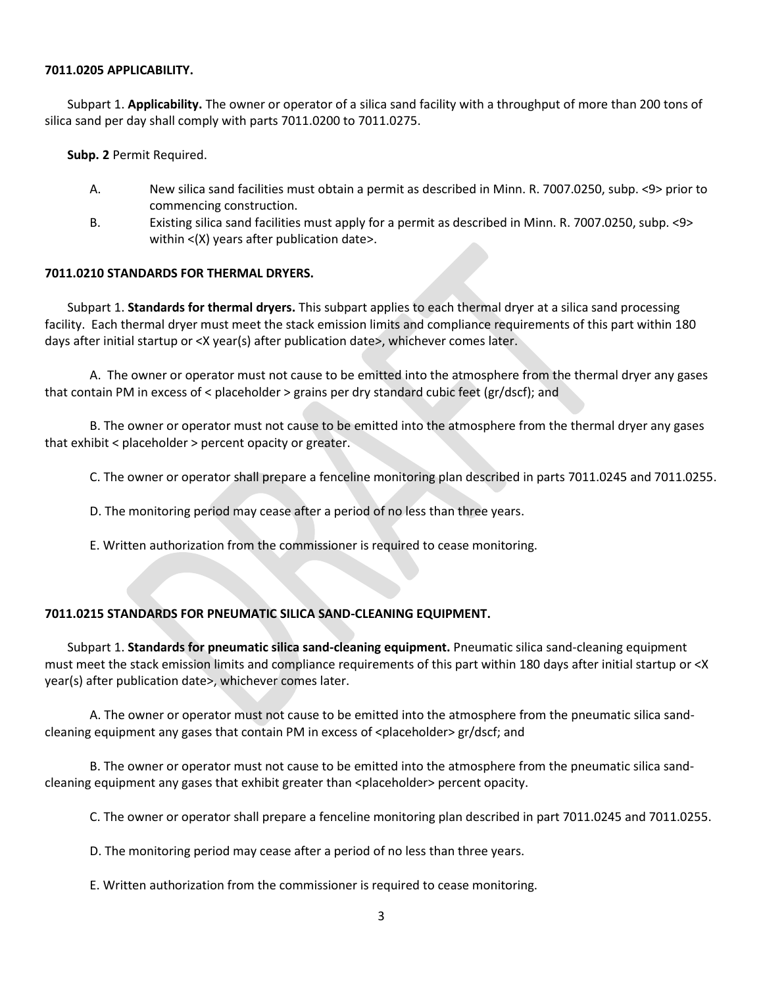#### **7011.0205 APPLICABILITY.**

Subpart 1. **Applicability.** The owner or operator of a silica sand facility with a throughput of more than 200 tons of silica sand per day shall comply with parts 7011.0200 to 7011.0275.

**Subp. 2** Permit Required.

- A. New silica sand facilities must obtain a permit as described in Minn. R. 7007.0250, subp. <9> prior to commencing construction.
- B. Existing silica sand facilities must apply for a permit as described in Minn. R. 7007.0250, subp. <9> within <(X) years after publication date>.

### **7011.0210 STANDARDS FOR THERMAL DRYERS.**

Subpart 1. **Standards for thermal dryers.** This subpart applies to each thermal dryer at a silica sand processing facility. Each thermal dryer must meet the stack emission limits and compliance requirements of this part within 180 days after initial startup or <X year(s) after publication date>, whichever comes later.

A. The owner or operator must not cause to be emitted into the atmosphere from the thermal dryer any gases that contain PM in excess of < placeholder > grains per dry standard cubic feet (gr/dscf); and

B. The owner or operator must not cause to be emitted into the atmosphere from the thermal dryer any gases that exhibit < placeholder > percent opacity or greater.

C. The owner or operator shall prepare a fenceline monitoring plan described in parts 7011.0245 and 7011.0255.

D. The monitoring period may cease after a period of no less than three years.

E. Written authorization from the commissioner is required to cease monitoring.

# **7011.0215 STANDARDS FOR PNEUMATIC SILICA SAND-CLEANING EQUIPMENT.**

Subpart 1. **Standards for pneumatic silica sand-cleaning equipment.** Pneumatic silica sand-cleaning equipment must meet the stack emission limits and compliance requirements of this part within 180 days after initial startup or <X year(s) after publication date>, whichever comes later.

A. The owner or operator must not cause to be emitted into the atmosphere from the pneumatic silica sandcleaning equipment any gases that contain PM in excess of <placeholder> gr/dscf; and

B. The owner or operator must not cause to be emitted into the atmosphere from the pneumatic silica sandcleaning equipment any gases that exhibit greater than <placeholder> percent opacity.

C. The owner or operator shall prepare a fenceline monitoring plan described in part 7011.0245 and 7011.0255.

D. The monitoring period may cease after a period of no less than three years.

E. Written authorization from the commissioner is required to cease monitoring.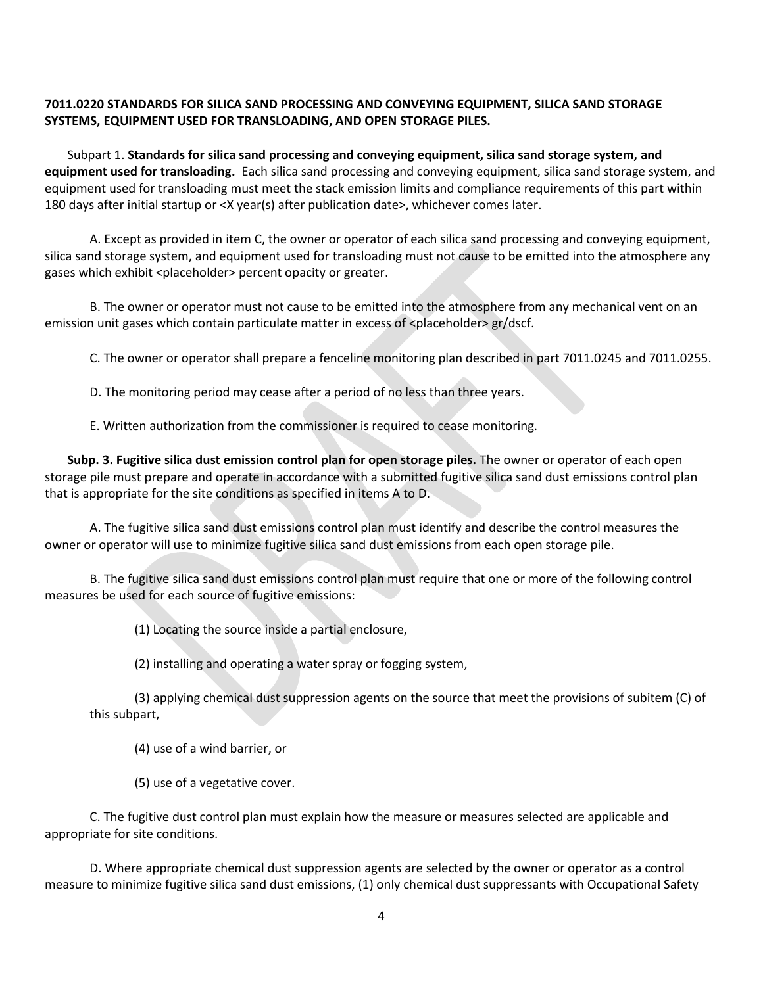## **7011.0220 STANDARDS FOR SILICA SAND PROCESSING AND CONVEYING EQUIPMENT, SILICA SAND STORAGE SYSTEMS, EQUIPMENT USED FOR TRANSLOADING, AND OPEN STORAGE PILES.**

Subpart 1. **Standards for silica sand processing and conveying equipment, silica sand storage system, and equipment used for transloading.** Each silica sand processing and conveying equipment, silica sand storage system, and equipment used for transloading must meet the stack emission limits and compliance requirements of this part within 180 days after initial startup or <X year(s) after publication date>, whichever comes later.

A. Except as provided in item C, the owner or operator of each silica sand processing and conveying equipment, silica sand storage system, and equipment used for transloading must not cause to be emitted into the atmosphere any gases which exhibit <placeholder> percent opacity or greater.

B. The owner or operator must not cause to be emitted into the atmosphere from any mechanical vent on an emission unit gases which contain particulate matter in excess of <placeholder> gr/dscf.

C. The owner or operator shall prepare a fenceline monitoring plan described in part 7011.0245 and 7011.0255.

D. The monitoring period may cease after a period of no less than three years.

E. Written authorization from the commissioner is required to cease monitoring.

**Subp. 3. Fugitive silica dust emission control plan for open storage piles.** The owner or operator of each open storage pile must prepare and operate in accordance with a submitted fugitive silica sand dust emissions control plan that is appropriate for the site conditions as specified in items A to D.

A. The fugitive silica sand dust emissions control plan must identify and describe the control measures the owner or operator will use to minimize fugitive silica sand dust emissions from each open storage pile.

B. The fugitive silica sand dust emissions control plan must require that one or more of the following control measures be used for each source of fugitive emissions:

(1) Locating the source inside a partial enclosure,

(2) installing and operating a water spray or fogging system,

(3) applying chemical dust suppression agents on the source that meet the provisions of subitem (C) of this subpart,

(4) use of a wind barrier, or

(5) use of a vegetative cover.

C. The fugitive dust control plan must explain how the measure or measures selected are applicable and appropriate for site conditions.

D. Where appropriate chemical dust suppression agents are selected by the owner or operator as a control measure to minimize fugitive silica sand dust emissions, (1) only chemical dust suppressants with Occupational Safety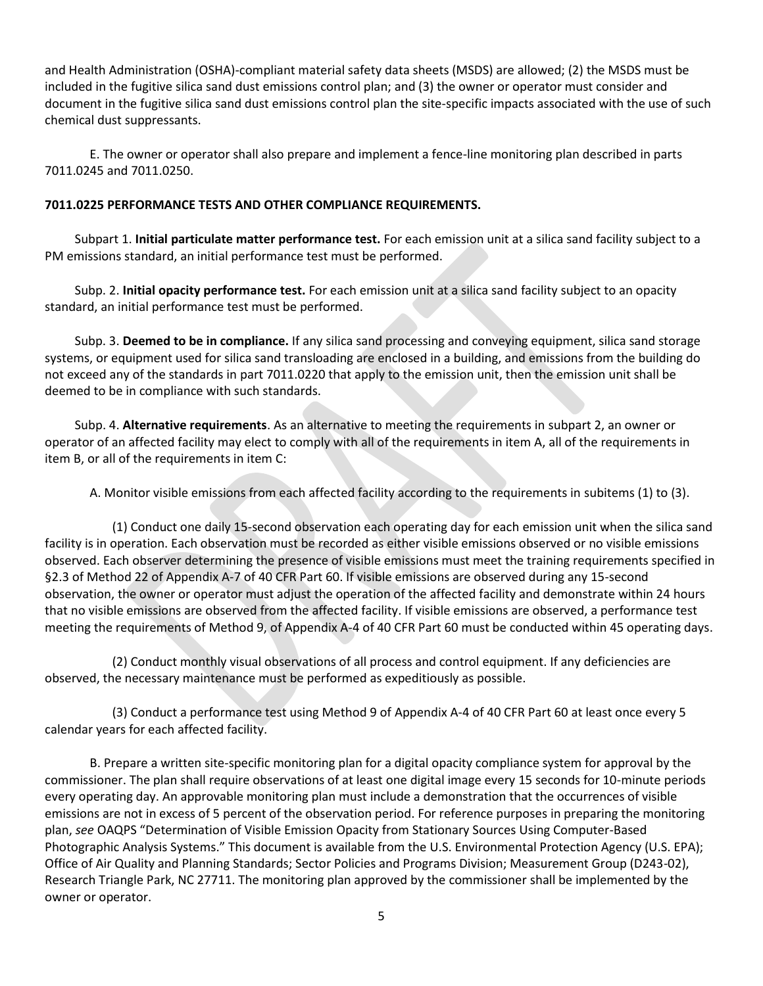and Health Administration (OSHA)-compliant material safety data sheets (MSDS) are allowed; (2) the MSDS must be included in the fugitive silica sand dust emissions control plan; and (3) the owner or operator must consider and document in the fugitive silica sand dust emissions control plan the site-specific impacts associated with the use of such chemical dust suppressants.

E. The owner or operator shall also prepare and implement a fence-line monitoring plan described in parts 7011.0245 and 7011.0250.

# **7011.0225 PERFORMANCE TESTS AND OTHER COMPLIANCE REQUIREMENTS.**

Subpart 1. **Initial particulate matter performance test.** For each emission unit at a silica sand facility subject to a PM emissions standard, an initial performance test must be performed.

Subp. 2. **Initial opacity performance test.** For each emission unit at a silica sand facility subject to an opacity standard, an initial performance test must be performed.

Subp. 3. **Deemed to be in compliance.** If any silica sand processing and conveying equipment, silica sand storage systems, or equipment used for silica sand transloading are enclosed in a building, and emissions from the building do not exceed any of the standards in part 7011.0220 that apply to the emission unit, then the emission unit shall be deemed to be in compliance with such standards.

Subp. 4. **Alternative requirements**. As an alternative to meeting the requirements in subpart 2, an owner or operator of an affected facility may elect to comply with all of the requirements in item A, all of the requirements in item B, or all of the requirements in item C:

A. Monitor visible emissions from each affected facility according to the requirements in subitems (1) to (3).

(1) Conduct one daily 15-second observation each operating day for each emission unit when the silica sand facility is in operation. Each observation must be recorded as either visible emissions observed or no visible emissions observed. Each observer determining the presence of visible emissions must meet the training requirements specified in §2.3 of Method 22 of Appendix A-7 of 40 CFR Part 60. If visible emissions are observed during any 15-second observation, the owner or operator must adjust the operation of the affected facility and demonstrate within 24 hours that no visible emissions are observed from the affected facility. If visible emissions are observed, a performance test meeting the requirements of Method 9, of Appendix A-4 of 40 CFR Part 60 must be conducted within 45 operating days.

(2) Conduct monthly visual observations of all process and control equipment. If any deficiencies are observed, the necessary maintenance must be performed as expeditiously as possible.

(3) Conduct a performance test using Method 9 of Appendix A-4 of 40 CFR Part 60 at least once every 5 calendar years for each affected facility.

B. Prepare a written site-specific monitoring plan for a digital opacity compliance system for approval by the commissioner. The plan shall require observations of at least one digital image every 15 seconds for 10-minute periods every operating day. An approvable monitoring plan must include a demonstration that the occurrences of visible emissions are not in excess of 5 percent of the observation period. For reference purposes in preparing the monitoring plan, *see* OAQPS "Determination of Visible Emission Opacity from Stationary Sources Using Computer-Based Photographic Analysis Systems." This document is available from the U.S. Environmental Protection Agency (U.S. EPA); Office of Air Quality and Planning Standards; Sector Policies and Programs Division; Measurement Group (D243-02), Research Triangle Park, NC 27711. The monitoring plan approved by the commissioner shall be implemented by the owner or operator.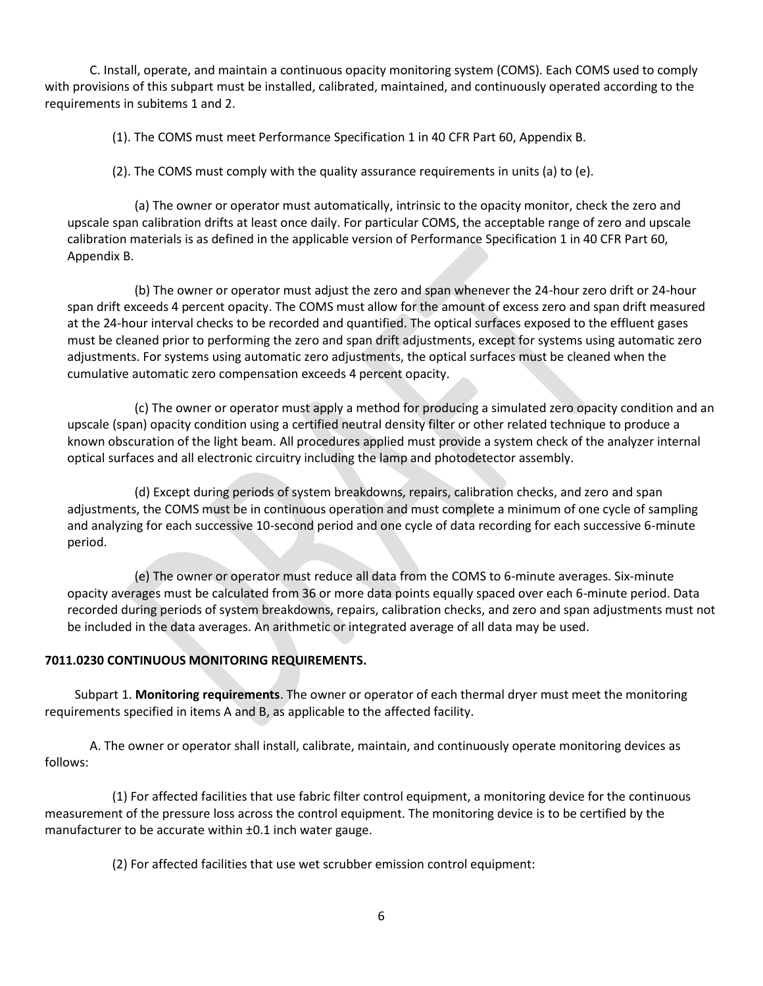C. Install, operate, and maintain a continuous opacity monitoring system (COMS). Each COMS used to comply with provisions of this subpart must be installed, calibrated, maintained, and continuously operated according to the requirements in subitems 1 and 2.

(1). The COMS must meet Performance Specification 1 in 40 CFR Part 60, Appendix B.

(2). The COMS must comply with the quality assurance requirements in units (a) to (e).

(a) The owner or operator must automatically, intrinsic to the opacity monitor, check the zero and upscale span calibration drifts at least once daily. For particular COMS, the acceptable range of zero and upscale calibration materials is as defined in the applicable version of Performance Specification 1 in 40 CFR Part 60, Appendix B.

(b) The owner or operator must adjust the zero and span whenever the 24-hour zero drift or 24-hour span drift exceeds 4 percent opacity. The COMS must allow for the amount of excess zero and span drift measured at the 24-hour interval checks to be recorded and quantified. The optical surfaces exposed to the effluent gases must be cleaned prior to performing the zero and span drift adjustments, except for systems using automatic zero adjustments. For systems using automatic zero adjustments, the optical surfaces must be cleaned when the cumulative automatic zero compensation exceeds 4 percent opacity.

(c) The owner or operator must apply a method for producing a simulated zero opacity condition and an upscale (span) opacity condition using a certified neutral density filter or other related technique to produce a known obscuration of the light beam. All procedures applied must provide a system check of the analyzer internal optical surfaces and all electronic circuitry including the lamp and photodetector assembly.

(d) Except during periods of system breakdowns, repairs, calibration checks, and zero and span adjustments, the COMS must be in continuous operation and must complete a minimum of one cycle of sampling and analyzing for each successive 10-second period and one cycle of data recording for each successive 6-minute period.

(e) The owner or operator must reduce all data from the COMS to 6-minute averages. Six-minute opacity averages must be calculated from 36 or more data points equally spaced over each 6-minute period. Data recorded during periods of system breakdowns, repairs, calibration checks, and zero and span adjustments must not be included in the data averages. An arithmetic or integrated average of all data may be used.

# **7011.0230 CONTINUOUS MONITORING REQUIREMENTS.**

Subpart 1. **Monitoring requirements**. The owner or operator of each thermal dryer must meet the monitoring requirements specified in items A and B, as applicable to the affected facility.

A. The owner or operator shall install, calibrate, maintain, and continuously operate monitoring devices as follows:

(1) For affected facilities that use fabric filter control equipment, a monitoring device for the continuous measurement of the pressure loss across the control equipment. The monitoring device is to be certified by the manufacturer to be accurate within  $\pm 0.1$  inch water gauge.

(2) For affected facilities that use wet scrubber emission control equipment: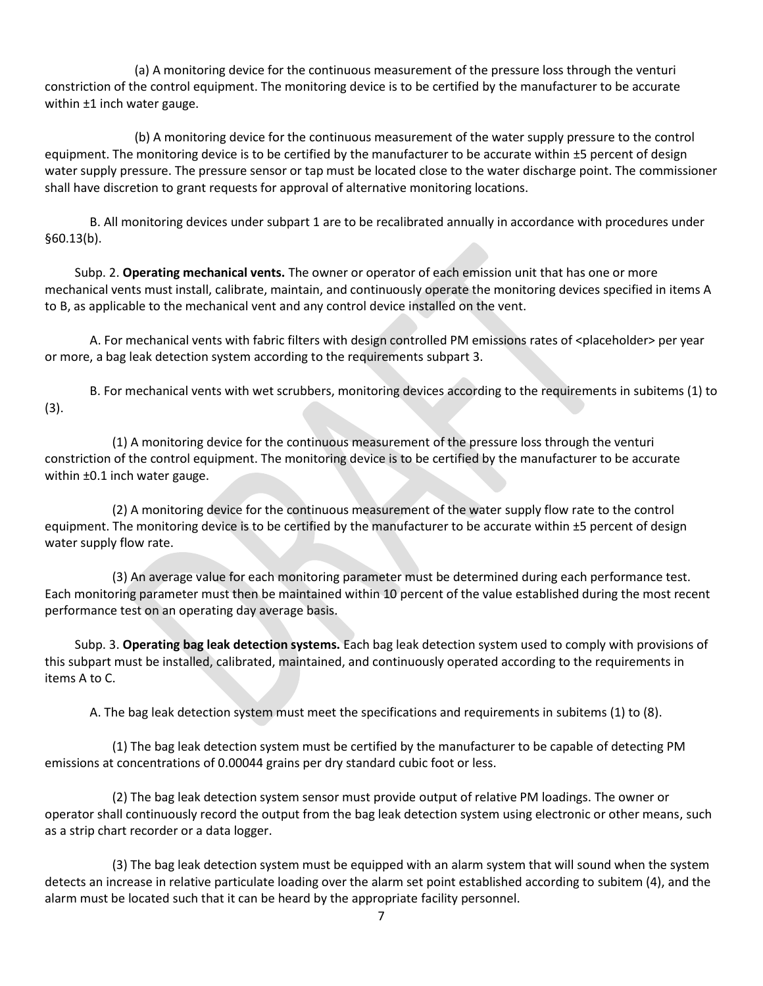(a) A monitoring device for the continuous measurement of the pressure loss through the venturi constriction of the control equipment. The monitoring device is to be certified by the manufacturer to be accurate within ±1 inch water gauge.

(b) A monitoring device for the continuous measurement of the water supply pressure to the control equipment. The monitoring device is to be certified by the manufacturer to be accurate within ±5 percent of design water supply pressure. The pressure sensor or tap must be located close to the water discharge point. The commissioner shall have discretion to grant requests for approval of alternative monitoring locations.

B. All monitoring devices under subpart 1 are to be recalibrated annually in accordance with procedures under §60.13(b).

Subp. 2. **Operating mechanical vents.** The owner or operator of each emission unit that has one or more mechanical vents must install, calibrate, maintain, and continuously operate the monitoring devices specified in items A to B, as applicable to the mechanical vent and any control device installed on the vent.

A. For mechanical vents with fabric filters with design controlled PM emissions rates of <placeholder> per year or more, a bag leak detection system according to the requirements subpart 3.

B. For mechanical vents with wet scrubbers, monitoring devices according to the requirements in subitems (1) to (3).

(1) A monitoring device for the continuous measurement of the pressure loss through the venturi constriction of the control equipment. The monitoring device is to be certified by the manufacturer to be accurate within  $\pm 0.1$  inch water gauge.

(2) A monitoring device for the continuous measurement of the water supply flow rate to the control equipment. The monitoring device is to be certified by the manufacturer to be accurate within ±5 percent of design water supply flow rate.

(3) An average value for each monitoring parameter must be determined during each performance test. Each monitoring parameter must then be maintained within 10 percent of the value established during the most recent performance test on an operating day average basis.

Subp. 3. **Operating bag leak detection systems.** Each bag leak detection system used to comply with provisions of this subpart must be installed, calibrated, maintained, and continuously operated according to the requirements in items A to C.

A. The bag leak detection system must meet the specifications and requirements in subitems (1) to (8).

(1) The bag leak detection system must be certified by the manufacturer to be capable of detecting PM emissions at concentrations of 0.00044 grains per dry standard cubic foot or less.

(2) The bag leak detection system sensor must provide output of relative PM loadings. The owner or operator shall continuously record the output from the bag leak detection system using electronic or other means, such as a strip chart recorder or a data logger.

(3) The bag leak detection system must be equipped with an alarm system that will sound when the system detects an increase in relative particulate loading over the alarm set point established according to subitem (4), and the alarm must be located such that it can be heard by the appropriate facility personnel.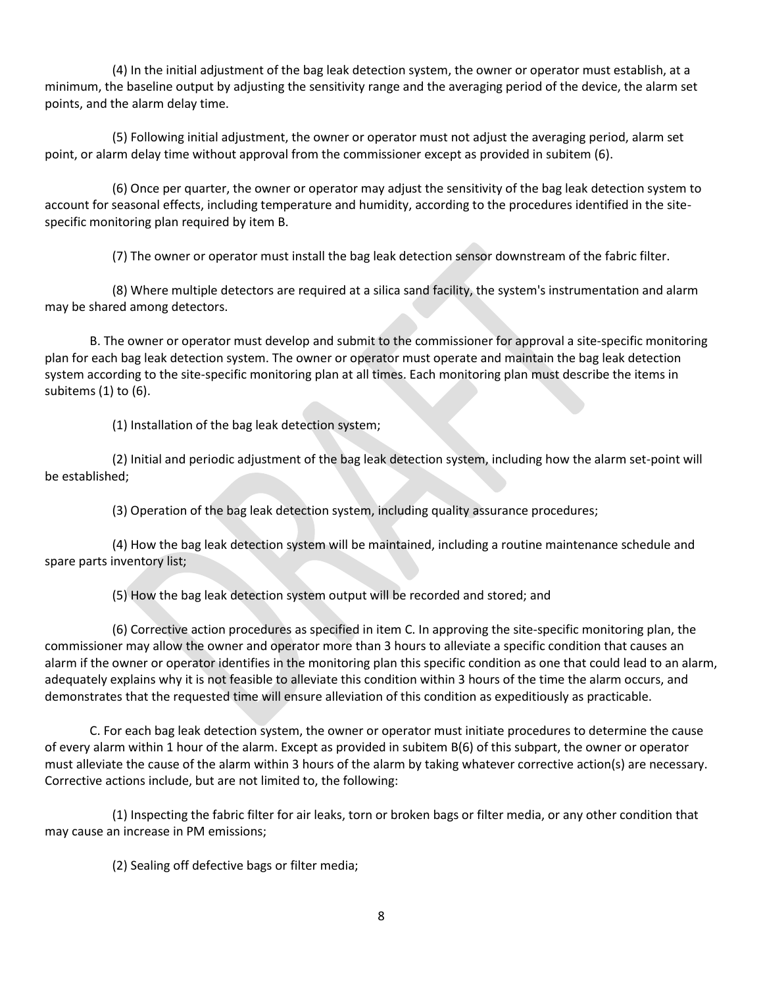(4) In the initial adjustment of the bag leak detection system, the owner or operator must establish, at a minimum, the baseline output by adjusting the sensitivity range and the averaging period of the device, the alarm set points, and the alarm delay time.

(5) Following initial adjustment, the owner or operator must not adjust the averaging period, alarm set point, or alarm delay time without approval from the commissioner except as provided in subitem (6).

(6) Once per quarter, the owner or operator may adjust the sensitivity of the bag leak detection system to account for seasonal effects, including temperature and humidity, according to the procedures identified in the sitespecific monitoring plan required by item B.

(7) The owner or operator must install the bag leak detection sensor downstream of the fabric filter.

(8) Where multiple detectors are required at a silica sand facility, the system's instrumentation and alarm may be shared among detectors.

B. The owner or operator must develop and submit to the commissioner for approval a site-specific monitoring plan for each bag leak detection system. The owner or operator must operate and maintain the bag leak detection system according to the site-specific monitoring plan at all times. Each monitoring plan must describe the items in subitems (1) to (6).

(1) Installation of the bag leak detection system;

(2) Initial and periodic adjustment of the bag leak detection system, including how the alarm set-point will be established;

(3) Operation of the bag leak detection system, including quality assurance procedures;

(4) How the bag leak detection system will be maintained, including a routine maintenance schedule and spare parts inventory list;

(5) How the bag leak detection system output will be recorded and stored; and

(6) Corrective action procedures as specified in item C. In approving the site-specific monitoring plan, the commissioner may allow the owner and operator more than 3 hours to alleviate a specific condition that causes an alarm if the owner or operator identifies in the monitoring plan this specific condition as one that could lead to an alarm, adequately explains why it is not feasible to alleviate this condition within 3 hours of the time the alarm occurs, and demonstrates that the requested time will ensure alleviation of this condition as expeditiously as practicable.

C. For each bag leak detection system, the owner or operator must initiate procedures to determine the cause of every alarm within 1 hour of the alarm. Except as provided in subitem B(6) of this subpart, the owner or operator must alleviate the cause of the alarm within 3 hours of the alarm by taking whatever corrective action(s) are necessary. Corrective actions include, but are not limited to, the following:

(1) Inspecting the fabric filter for air leaks, torn or broken bags or filter media, or any other condition that may cause an increase in PM emissions;

(2) Sealing off defective bags or filter media;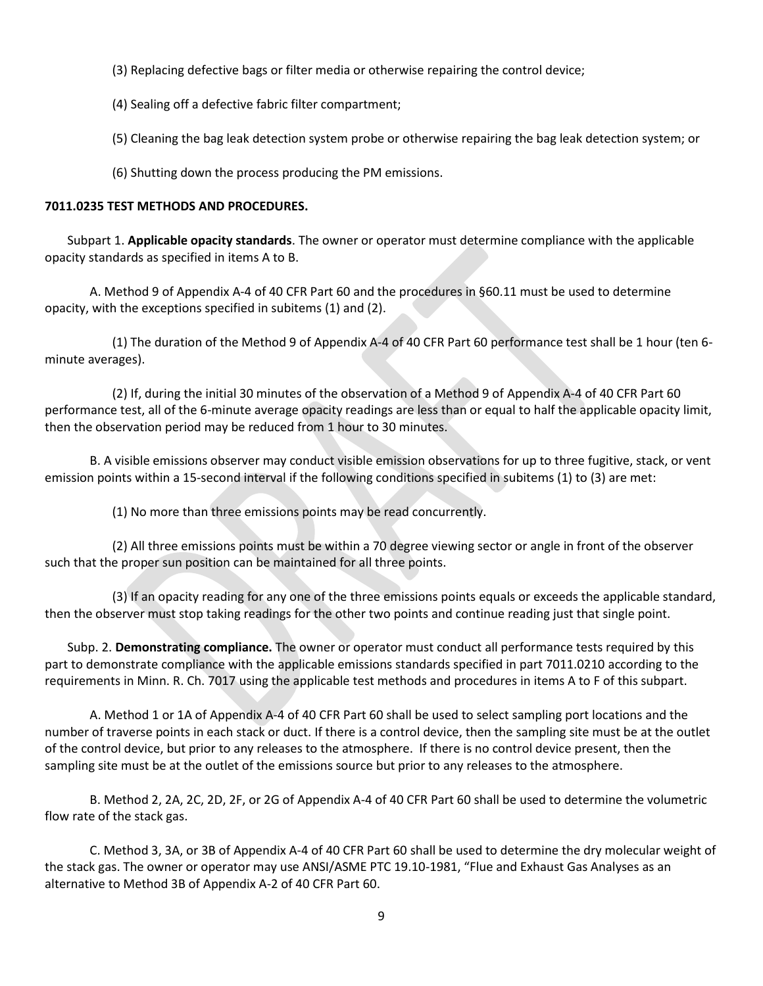- (3) Replacing defective bags or filter media or otherwise repairing the control device;
- (4) Sealing off a defective fabric filter compartment;
- (5) Cleaning the bag leak detection system probe or otherwise repairing the bag leak detection system; or
- (6) Shutting down the process producing the PM emissions.

### **7011.0235 TEST METHODS AND PROCEDURES.**

Subpart 1. **Applicable opacity standards**. The owner or operator must determine compliance with the applicable opacity standards as specified in items A to B.

A. Method 9 of Appendix A-4 of 40 CFR Part 60 and the procedures in §60.11 must be used to determine opacity, with the exceptions specified in subitems (1) and (2).

(1) The duration of the Method 9 of Appendix A-4 of 40 CFR Part 60 performance test shall be 1 hour (ten 6 minute averages).

(2) If, during the initial 30 minutes of the observation of a Method 9 of Appendix A-4 of 40 CFR Part 60 performance test, all of the 6-minute average opacity readings are less than or equal to half the applicable opacity limit, then the observation period may be reduced from 1 hour to 30 minutes.

B. A visible emissions observer may conduct visible emission observations for up to three fugitive, stack, or vent emission points within a 15-second interval if the following conditions specified in subitems (1) to (3) are met:

(1) No more than three emissions points may be read concurrently.

(2) All three emissions points must be within a 70 degree viewing sector or angle in front of the observer such that the proper sun position can be maintained for all three points.

(3) If an opacity reading for any one of the three emissions points equals or exceeds the applicable standard, then the observer must stop taking readings for the other two points and continue reading just that single point.

Subp. 2. **Demonstrating compliance.** The owner or operator must conduct all performance tests required by this part to demonstrate compliance with the applicable emissions standards specified in part 7011.0210 according to the requirements in Minn. R. Ch. 7017 using the applicable test methods and procedures in items A to F of this subpart.

A. Method 1 or 1A of Appendix A-4 of 40 CFR Part 60 shall be used to select sampling port locations and the number of traverse points in each stack or duct. If there is a control device, then the sampling site must be at the outlet of the control device, but prior to any releases to the atmosphere. If there is no control device present, then the sampling site must be at the outlet of the emissions source but prior to any releases to the atmosphere.

B. Method 2, 2A, 2C, 2D, 2F, or 2G of Appendix A-4 of 40 CFR Part 60 shall be used to determine the volumetric flow rate of the stack gas.

C. Method 3, 3A, or 3B of Appendix A-4 of 40 CFR Part 60 shall be used to determine the dry molecular weight of the stack gas. The owner or operator may use ANSI/ASME PTC 19.10-1981, "Flue and Exhaust Gas Analyses as an alternative to Method 3B of Appendix A-2 of 40 CFR Part 60.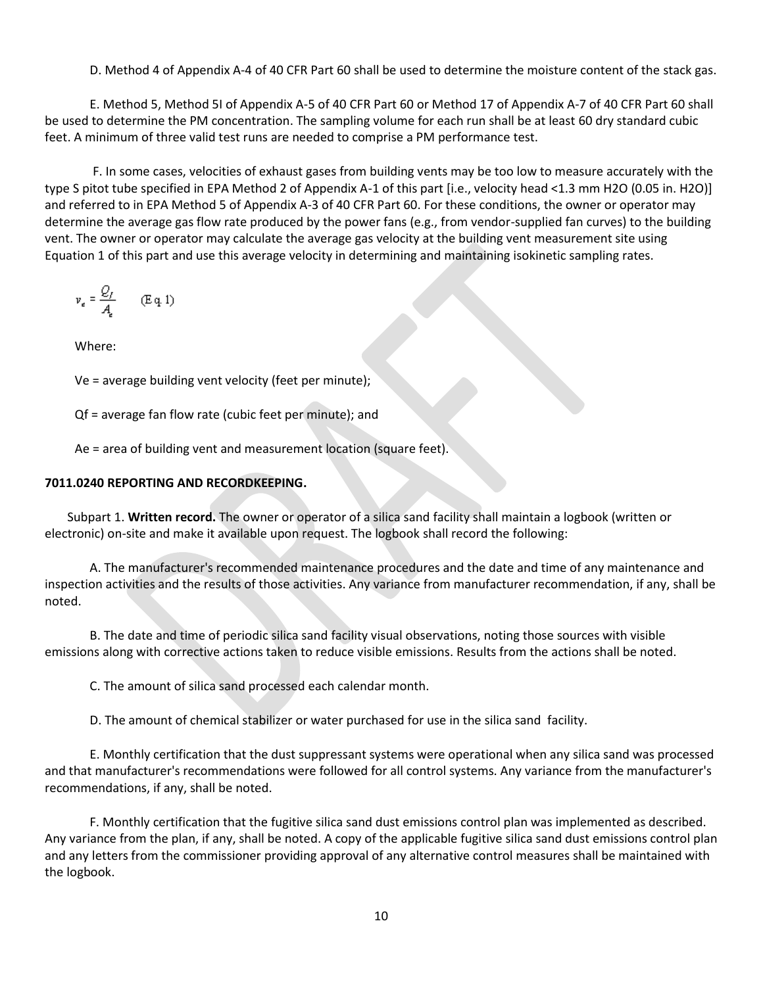D. Method 4 of Appendix A-4 of 40 CFR Part 60 shall be used to determine the moisture content of the stack gas.

E. Method 5, Method 5I of Appendix A-5 of 40 CFR Part 60 or Method 17 of Appendix A-7 of 40 CFR Part 60 shall be used to determine the PM concentration. The sampling volume for each run shall be at least 60 dry standard cubic feet. A minimum of three valid test runs are needed to comprise a PM performance test.

F. In some cases, velocities of exhaust gases from building vents may be too low to measure accurately with the type S pitot tube specified in EPA Method 2 of Appendix A-1 of this part [i.e., velocity head <1.3 mm H2O (0.05 in. H2O)] and referred to in EPA Method 5 of Appendix A-3 of 40 CFR Part 60. For these conditions, the owner or operator may determine the average gas flow rate produced by the power fans (e.g., from vendor-supplied fan curves) to the building vent. The owner or operator may calculate the average gas velocity at the building vent measurement site using Equation 1 of this part and use this average velocity in determining and maintaining isokinetic sampling rates.

$$
v_e = \frac{Q_f}{A_e} \qquad \text{(E q. 1)}
$$

Where:

Ve = average building vent velocity (feet per minute);

Qf = average fan flow rate (cubic feet per minute); and

Ae = area of building vent and measurement location (square feet).

## **7011.0240 REPORTING AND RECORDKEEPING.**

Subpart 1. **Written record.** The owner or operator of a silica sand facility shall maintain a logbook (written or electronic) on-site and make it available upon request. The logbook shall record the following:

A. The manufacturer's recommended maintenance procedures and the date and time of any maintenance and inspection activities and the results of those activities. Any variance from manufacturer recommendation, if any, shall be noted.

B. The date and time of periodic silica sand facility visual observations, noting those sources with visible emissions along with corrective actions taken to reduce visible emissions. Results from the actions shall be noted.

C. The amount of silica sand processed each calendar month.

D. The amount of chemical stabilizer or water purchased for use in the silica sand facility.

E. Monthly certification that the dust suppressant systems were operational when any silica sand was processed and that manufacturer's recommendations were followed for all control systems. Any variance from the manufacturer's recommendations, if any, shall be noted.

F. Monthly certification that the fugitive silica sand dust emissions control plan was implemented as described. Any variance from the plan, if any, shall be noted. A copy of the applicable fugitive silica sand dust emissions control plan and any letters from the commissioner providing approval of any alternative control measures shall be maintained with the logbook.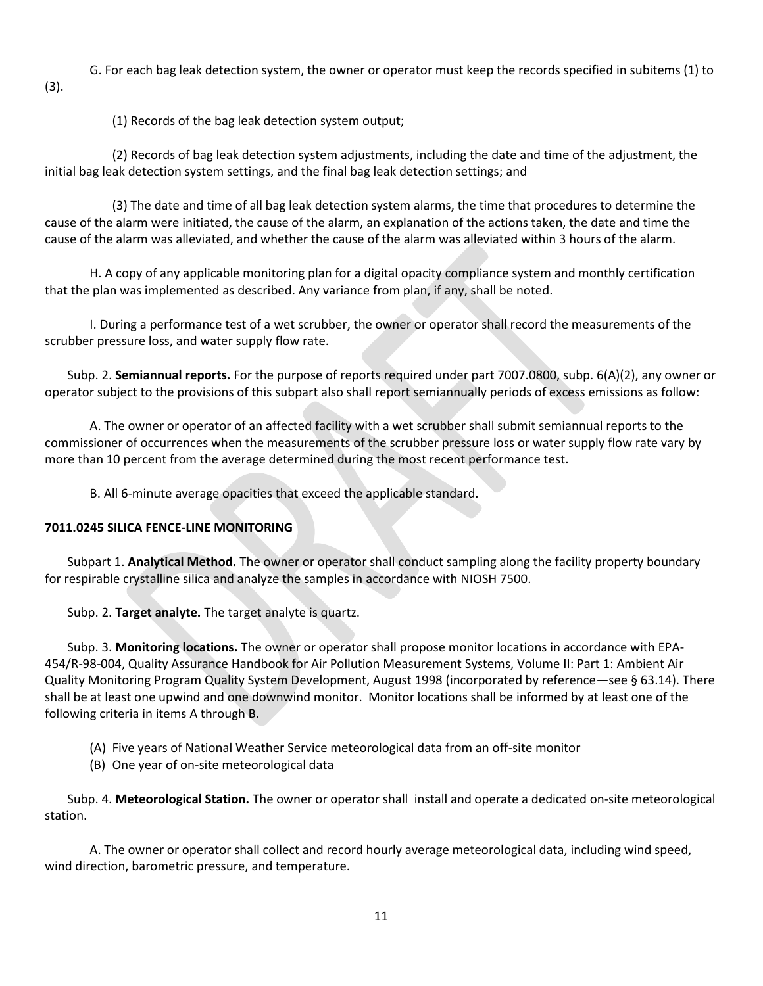G. For each bag leak detection system, the owner or operator must keep the records specified in subitems (1) to (3).

(1) Records of the bag leak detection system output;

(2) Records of bag leak detection system adjustments, including the date and time of the adjustment, the initial bag leak detection system settings, and the final bag leak detection settings; and

(3) The date and time of all bag leak detection system alarms, the time that procedures to determine the cause of the alarm were initiated, the cause of the alarm, an explanation of the actions taken, the date and time the cause of the alarm was alleviated, and whether the cause of the alarm was alleviated within 3 hours of the alarm.

H. A copy of any applicable monitoring plan for a digital opacity compliance system and monthly certification that the plan was implemented as described. Any variance from plan, if any, shall be noted.

I. During a performance test of a wet scrubber, the owner or operator shall record the measurements of the scrubber pressure loss, and water supply flow rate.

Subp. 2. **Semiannual reports.** For the purpose of reports required under part 7007.0800, subp. 6(A)(2), any owner or operator subject to the provisions of this subpart also shall report semiannually periods of excess emissions as follow:

A. The owner or operator of an affected facility with a wet scrubber shall submit semiannual reports to the commissioner of occurrences when the measurements of the scrubber pressure loss or water supply flow rate vary by more than 10 percent from the average determined during the most recent performance test.

B. All 6-minute average opacities that exceed the applicable standard.

### **7011.0245 SILICA FENCE-LINE MONITORING**

Subpart 1. **Analytical Method.** The owner or operator shall conduct sampling along the facility property boundary for respirable crystalline silica and analyze the samples in accordance with NIOSH 7500.

Subp. 2. **Target analyte.** The target analyte is quartz.

Subp. 3. **Monitoring locations.** The owner or operator shall propose monitor locations in accordance with EPA-454/R-98-004, Quality Assurance Handbook for Air Pollution Measurement Systems, Volume II: Part 1: Ambient Air Quality Monitoring Program Quality System Development, August 1998 (incorporated by reference—see § 63.14). There shall be at least one upwind and one downwind monitor. Monitor locations shall be informed by at least one of the following criteria in items A through B.

- (A) Five years of National Weather Service meteorological data from an off-site monitor
- (B) One year of on-site meteorological data

Subp. 4. **Meteorological Station.** The owner or operator shall install and operate a dedicated on-site meteorological station.

A. The owner or operator shall collect and record hourly average meteorological data, including wind speed, wind direction, barometric pressure, and temperature.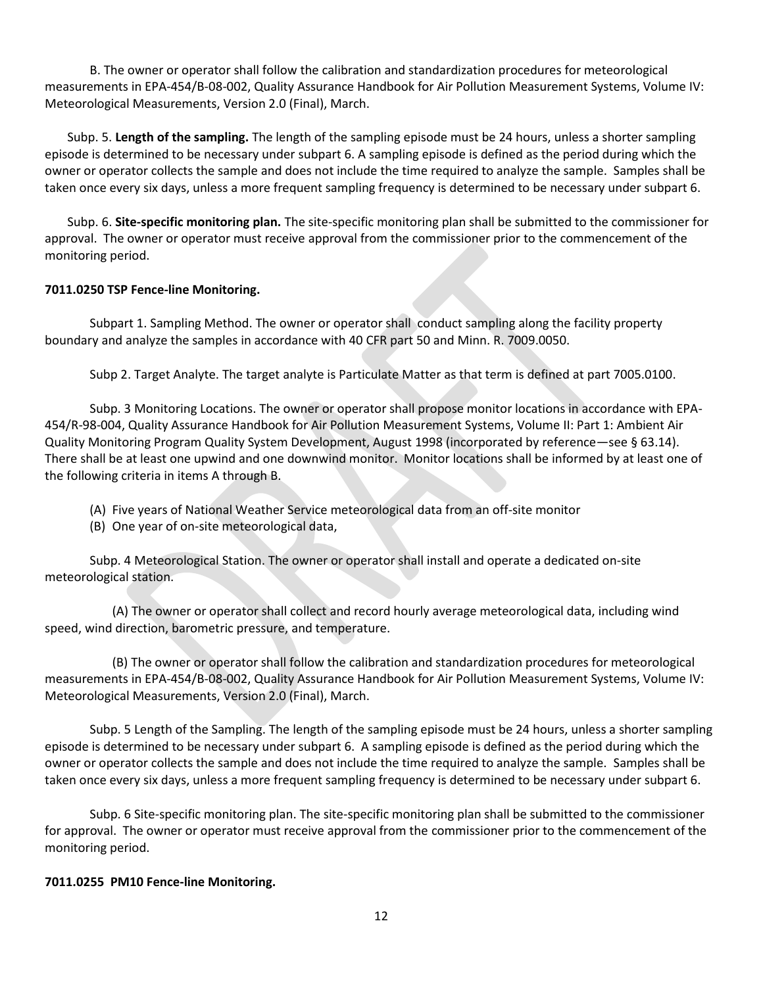B. The owner or operator shall follow the calibration and standardization procedures for meteorological measurements in EPA-454/B-08-002, Quality Assurance Handbook for Air Pollution Measurement Systems, Volume IV: Meteorological Measurements, Version 2.0 (Final), March.

Subp. 5. **Length of the sampling.** The length of the sampling episode must be 24 hours, unless a shorter sampling episode is determined to be necessary under subpart 6. A sampling episode is defined as the period during which the owner or operator collects the sample and does not include the time required to analyze the sample. Samples shall be taken once every six days, unless a more frequent sampling frequency is determined to be necessary under subpart 6.

Subp. 6. **Site-specific monitoring plan.** The site-specific monitoring plan shall be submitted to the commissioner for approval. The owner or operator must receive approval from the commissioner prior to the commencement of the monitoring period.

### **7011.0250 TSP Fence-line Monitoring.**

Subpart 1. Sampling Method. The owner or operator shall conduct sampling along the facility property boundary and analyze the samples in accordance with 40 CFR part 50 and Minn. R. 7009.0050.

Subp 2. Target Analyte. The target analyte is Particulate Matter as that term is defined at part 7005.0100.

Subp. 3 Monitoring Locations. The owner or operator shall propose monitor locations in accordance with EPA-454/R-98-004, Quality Assurance Handbook for Air Pollution Measurement Systems, Volume II: Part 1: Ambient Air Quality Monitoring Program Quality System Development, August 1998 (incorporated by reference—see § 63.14). There shall be at least one upwind and one downwind monitor. Monitor locations shall be informed by at least one of the following criteria in items A through B.

- (A) Five years of National Weather Service meteorological data from an off-site monitor
- (B) One year of on-site meteorological data,

Subp. 4 Meteorological Station. The owner or operator shall install and operate a dedicated on-site meteorological station.

(A) The owner or operator shall collect and record hourly average meteorological data, including wind speed, wind direction, barometric pressure, and temperature.

(B) The owner or operator shall follow the calibration and standardization procedures for meteorological measurements in EPA-454/B-08-002, Quality Assurance Handbook for Air Pollution Measurement Systems, Volume IV: Meteorological Measurements, Version 2.0 (Final), March.

Subp. 5 Length of the Sampling. The length of the sampling episode must be 24 hours, unless a shorter sampling episode is determined to be necessary under subpart 6. A sampling episode is defined as the period during which the owner or operator collects the sample and does not include the time required to analyze the sample. Samples shall be taken once every six days, unless a more frequent sampling frequency is determined to be necessary under subpart 6.

Subp. 6 Site-specific monitoring plan. The site-specific monitoring plan shall be submitted to the commissioner for approval. The owner or operator must receive approval from the commissioner prior to the commencement of the monitoring period.

#### **7011.0255 PM10 Fence-line Monitoring.**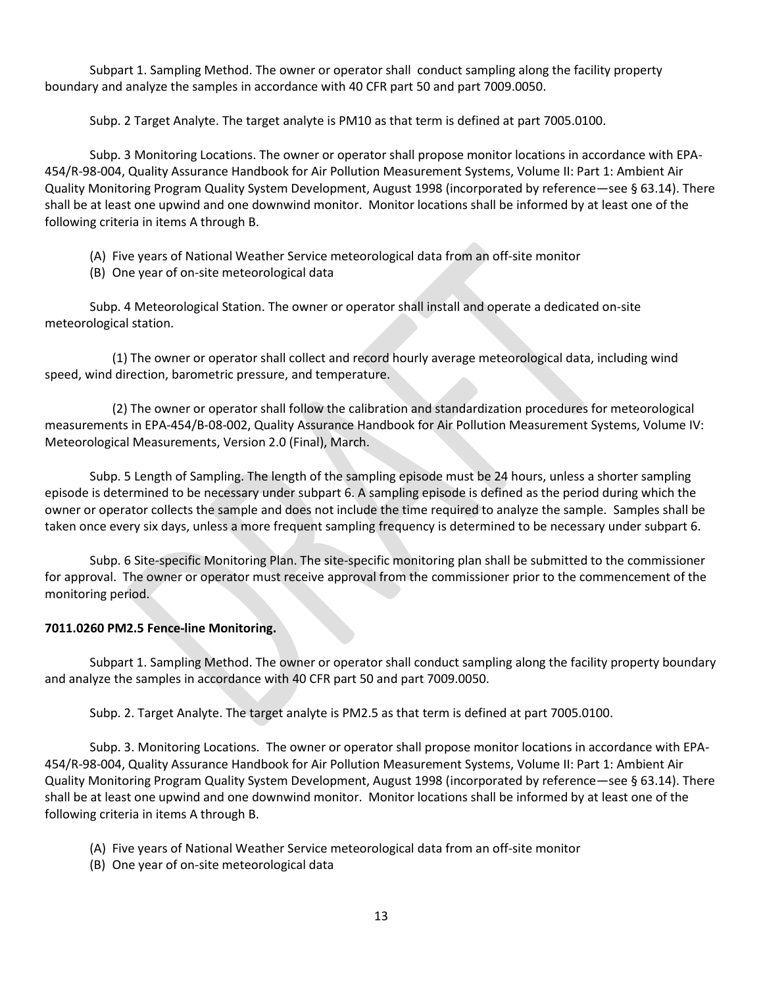Subpart 1. Sampling Method. The owner or operator shall conduct sampling along the facility property boundary and analyze the samples in accordance with 40 CFR part 50 and part 7009.0050.

Subp. 2 Target Analyte. The target analyte is PM10 as that term is defined at part 7005.0100.

Subp. 3 Monitoring Locations. The owner or operator shall propose monitor locations in accordance with EPA-454/R-98-004, Quality Assurance Handbook for Air Pollution Measurement Systems, Volume II: Part 1: Ambient Air Quality Monitoring Program Quality System Development, August 1998 (incorporated by reference—see § 63.14). There shall be at least one upwind and one downwind monitor. Monitor locations shall be informed by at least one of the following criteria in items A through B.

- (A) Five years of National Weather Service meteorological data from an off-site monitor
- (B) One year of on-site meteorological data

Subp. 4 Meteorological Station. The owner or operator shall install and operate a dedicated on-site meteorological station.

(1) The owner or operator shall collect and record hourly average meteorological data, including wind speed, wind direction, barometric pressure, and temperature.

(2) The owner or operator shall follow the calibration and standardization procedures for meteorological measurements in EPA-454/B-08-002, Quality Assurance Handbook for Air Pollution Measurement Systems, Volume IV: Meteorological Measurements, Version 2.0 (Final), March.

Subp. 5 Length of Sampling. The length of the sampling episode must be 24 hours, unless a shorter sampling episode is determined to be necessary under subpart 6. A sampling episode is defined as the period during which the owner or operator collects the sample and does not include the time required to analyze the sample. Samples shall be taken once every six days, unless a more frequent sampling frequency is determined to be necessary under subpart 6.

Subp. 6 Site-specific Monitoring Plan. The site-specific monitoring plan shall be submitted to the commissioner for approval. The owner or operator must receive approval from the commissioner prior to the commencement of the monitoring period.

# **7011.0260 PM2.5 Fence-line Monitoring.**

Subpart 1. Sampling Method. The owner or operator shall conduct sampling along the facility property boundary and analyze the samples in accordance with 40 CFR part 50 and part 7009.0050.

Subp. 2. Target Analyte. The target analyte is PM2.5 as that term is defined at part 7005.0100.

Subp. 3. Monitoring Locations. The owner or operator shall propose monitor locations in accordance with EPA-454/R-98-004, Quality Assurance Handbook for Air Pollution Measurement Systems, Volume II: Part 1: Ambient Air Quality Monitoring Program Quality System Development, August 1998 (incorporated by reference—see § 63.14). There shall be at least one upwind and one downwind monitor. Monitor locations shall be informed by at least one of the following criteria in items A through B.

- (A) Five years of National Weather Service meteorological data from an off-site monitor
- (B) One year of on-site meteorological data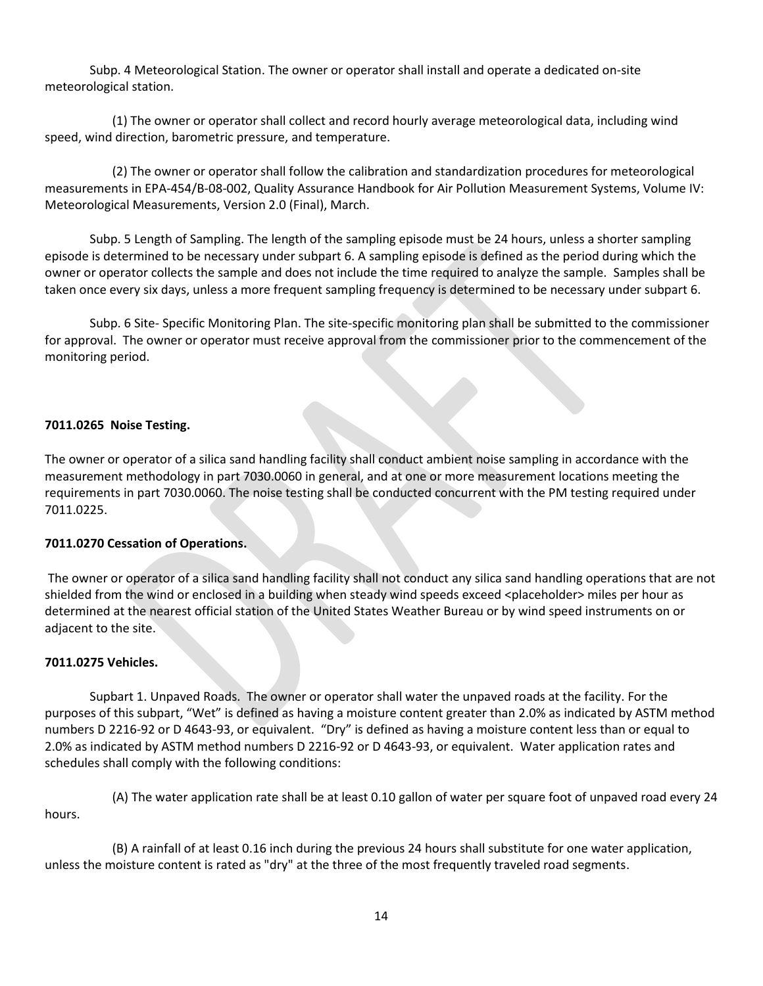Subp. 4 Meteorological Station. The owner or operator shall install and operate a dedicated on-site meteorological station.

(1) The owner or operator shall collect and record hourly average meteorological data, including wind speed, wind direction, barometric pressure, and temperature.

(2) The owner or operator shall follow the calibration and standardization procedures for meteorological measurements in EPA-454/B-08-002, Quality Assurance Handbook for Air Pollution Measurement Systems, Volume IV: Meteorological Measurements, Version 2.0 (Final), March.

Subp. 5 Length of Sampling. The length of the sampling episode must be 24 hours, unless a shorter sampling episode is determined to be necessary under subpart 6. A sampling episode is defined as the period during which the owner or operator collects the sample and does not include the time required to analyze the sample. Samples shall be taken once every six days, unless a more frequent sampling frequency is determined to be necessary under subpart 6.

Subp. 6 Site- Specific Monitoring Plan. The site-specific monitoring plan shall be submitted to the commissioner for approval. The owner or operator must receive approval from the commissioner prior to the commencement of the monitoring period.

### **7011.0265 Noise Testing.**

The owner or operator of a silica sand handling facility shall conduct ambient noise sampling in accordance with the measurement methodology in part 7030.0060 in general, and at one or more measurement locations meeting the requirements in part 7030.0060. The noise testing shall be conducted concurrent with the PM testing required under 7011.0225.

### **7011.0270 Cessation of Operations.**

The owner or operator of a silica sand handling facility shall not conduct any silica sand handling operations that are not shielded from the wind or enclosed in a building when steady wind speeds exceed <placeholder> miles per hour as determined at the nearest official station of the United States Weather Bureau or by wind speed instruments on or adjacent to the site.

### **7011.0275 Vehicles.**

Supbart 1. Unpaved Roads. The owner or operator shall water the unpaved roads at the facility. For the purposes of this subpart, "Wet" is defined as having a moisture content greater than 2.0% as indicated by ASTM method numbers D 2216-92 or D 4643-93, or equivalent. "Dry" is defined as having a moisture content less than or equal to 2.0% as indicated by ASTM method numbers D 2216-92 or D 4643-93, or equivalent. Water application rates and schedules shall comply with the following conditions:

(A) The water application rate shall be at least 0.10 gallon of water per square foot of unpaved road every 24 hours.

(B) A rainfall of at least 0.16 inch during the previous 24 hours shall substitute for one water application, unless the moisture content is rated as "dry" at the three of the most frequently traveled road segments.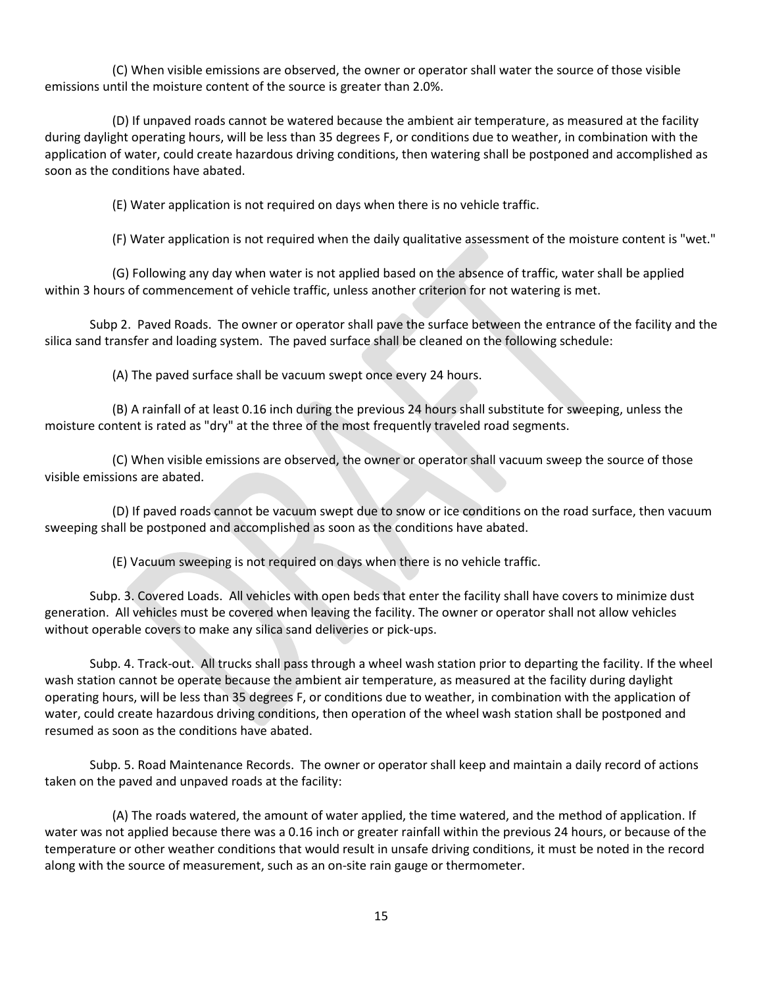(C) When visible emissions are observed, the owner or operator shall water the source of those visible emissions until the moisture content of the source is greater than 2.0%.

(D) If unpaved roads cannot be watered because the ambient air temperature, as measured at the facility during daylight operating hours, will be less than 35 degrees F, or conditions due to weather, in combination with the application of water, could create hazardous driving conditions, then watering shall be postponed and accomplished as soon as the conditions have abated.

(E) Water application is not required on days when there is no vehicle traffic.

(F) Water application is not required when the daily qualitative assessment of the moisture content is "wet."

(G) Following any day when water is not applied based on the absence of traffic, water shall be applied within 3 hours of commencement of vehicle traffic, unless another criterion for not watering is met.

Subp 2. Paved Roads. The owner or operator shall pave the surface between the entrance of the facility and the silica sand transfer and loading system. The paved surface shall be cleaned on the following schedule:

(A) The paved surface shall be vacuum swept once every 24 hours.

(B) A rainfall of at least 0.16 inch during the previous 24 hours shall substitute for sweeping, unless the moisture content is rated as "dry" at the three of the most frequently traveled road segments.

(C) When visible emissions are observed, the owner or operator shall vacuum sweep the source of those visible emissions are abated.

(D) If paved roads cannot be vacuum swept due to snow or ice conditions on the road surface, then vacuum sweeping shall be postponed and accomplished as soon as the conditions have abated.

(E) Vacuum sweeping is not required on days when there is no vehicle traffic.

Subp. 3. Covered Loads. All vehicles with open beds that enter the facility shall have covers to minimize dust generation. All vehicles must be covered when leaving the facility. The owner or operator shall not allow vehicles without operable covers to make any silica sand deliveries or pick-ups.

Subp. 4. Track-out. All trucks shall pass through a wheel wash station prior to departing the facility. If the wheel wash station cannot be operate because the ambient air temperature, as measured at the facility during daylight operating hours, will be less than 35 degrees F, or conditions due to weather, in combination with the application of water, could create hazardous driving conditions, then operation of the wheel wash station shall be postponed and resumed as soon as the conditions have abated.

Subp. 5. Road Maintenance Records. The owner or operator shall keep and maintain a daily record of actions taken on the paved and unpaved roads at the facility:

(A) The roads watered, the amount of water applied, the time watered, and the method of application. If water was not applied because there was a 0.16 inch or greater rainfall within the previous 24 hours, or because of the temperature or other weather conditions that would result in unsafe driving conditions, it must be noted in the record along with the source of measurement, such as an on-site rain gauge or thermometer.